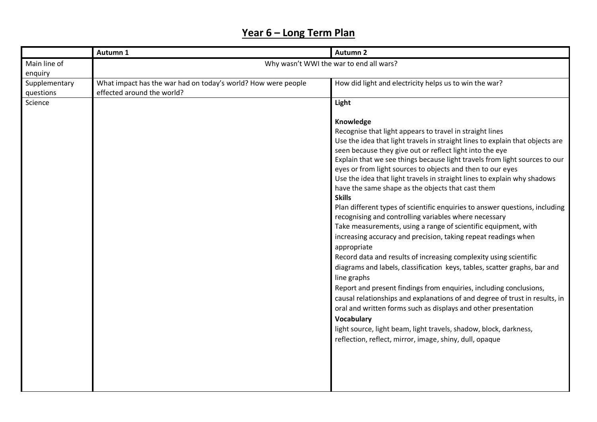# **Year 6 – Long Term Plan**

|                            | Autumn 1                                                                                    | <b>Autumn 2</b>                                                                                                                                                                                                                                                                                                                                                                                                                                                                                                                                                                                                                                                                                                                                                                                                                                                                                                                                                                                                                                                                                                                                                                                                                                                                                                                                          |
|----------------------------|---------------------------------------------------------------------------------------------|----------------------------------------------------------------------------------------------------------------------------------------------------------------------------------------------------------------------------------------------------------------------------------------------------------------------------------------------------------------------------------------------------------------------------------------------------------------------------------------------------------------------------------------------------------------------------------------------------------------------------------------------------------------------------------------------------------------------------------------------------------------------------------------------------------------------------------------------------------------------------------------------------------------------------------------------------------------------------------------------------------------------------------------------------------------------------------------------------------------------------------------------------------------------------------------------------------------------------------------------------------------------------------------------------------------------------------------------------------|
| Main line of               |                                                                                             | Why wasn't WWI the war to end all wars?                                                                                                                                                                                                                                                                                                                                                                                                                                                                                                                                                                                                                                                                                                                                                                                                                                                                                                                                                                                                                                                                                                                                                                                                                                                                                                                  |
| enquiry                    |                                                                                             |                                                                                                                                                                                                                                                                                                                                                                                                                                                                                                                                                                                                                                                                                                                                                                                                                                                                                                                                                                                                                                                                                                                                                                                                                                                                                                                                                          |
| Supplementary<br>questions | What impact has the war had on today's world? How were people<br>effected around the world? | How did light and electricity helps us to win the war?                                                                                                                                                                                                                                                                                                                                                                                                                                                                                                                                                                                                                                                                                                                                                                                                                                                                                                                                                                                                                                                                                                                                                                                                                                                                                                   |
| Science                    |                                                                                             | Light                                                                                                                                                                                                                                                                                                                                                                                                                                                                                                                                                                                                                                                                                                                                                                                                                                                                                                                                                                                                                                                                                                                                                                                                                                                                                                                                                    |
|                            |                                                                                             | Knowledge<br>Recognise that light appears to travel in straight lines<br>Use the idea that light travels in straight lines to explain that objects are<br>seen because they give out or reflect light into the eye<br>Explain that we see things because light travels from light sources to our<br>eyes or from light sources to objects and then to our eyes<br>Use the idea that light travels in straight lines to explain why shadows<br>have the same shape as the objects that cast them<br><b>Skills</b><br>Plan different types of scientific enquiries to answer questions, including<br>recognising and controlling variables where necessary<br>Take measurements, using a range of scientific equipment, with<br>increasing accuracy and precision, taking repeat readings when<br>appropriate<br>Record data and results of increasing complexity using scientific<br>diagrams and labels, classification keys, tables, scatter graphs, bar and<br>line graphs<br>Report and present findings from enquiries, including conclusions,<br>causal relationships and explanations of and degree of trust in results, in<br>oral and written forms such as displays and other presentation<br><b>Vocabulary</b><br>light source, light beam, light travels, shadow, block, darkness,<br>reflection, reflect, mirror, image, shiny, dull, opaque |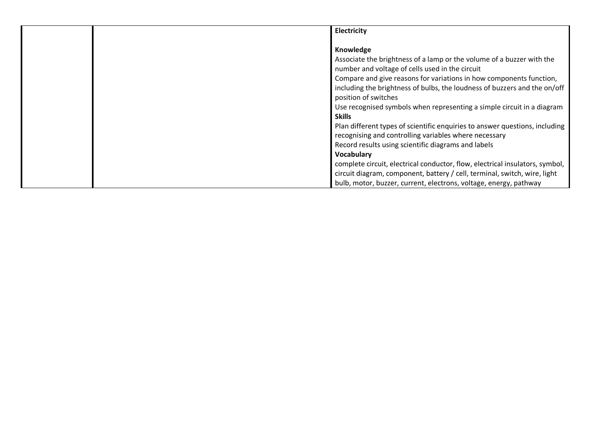|  | Electricity                                                                                                                                                                                                                                                                                                |
|--|------------------------------------------------------------------------------------------------------------------------------------------------------------------------------------------------------------------------------------------------------------------------------------------------------------|
|  | Knowledge<br>Associate the brightness of a lamp or the volume of a buzzer with the<br>number and voltage of cells used in the circuit<br>Compare and give reasons for variations in how components function,<br>including the brightness of bulbs, the loudness of buzzers and the on/off                  |
|  | position of switches<br>Use recognised symbols when representing a simple circuit in a diagram<br><b>Skills</b><br>Plan different types of scientific enquiries to answer questions, including<br>recognising and controlling variables where necessary                                                    |
|  | Record results using scientific diagrams and labels<br><b>Vocabulary</b><br>complete circuit, electrical conductor, flow, electrical insulators, symbol,<br>circuit diagram, component, battery / cell, terminal, switch, wire, light<br>bulb, motor, buzzer, current, electrons, voltage, energy, pathway |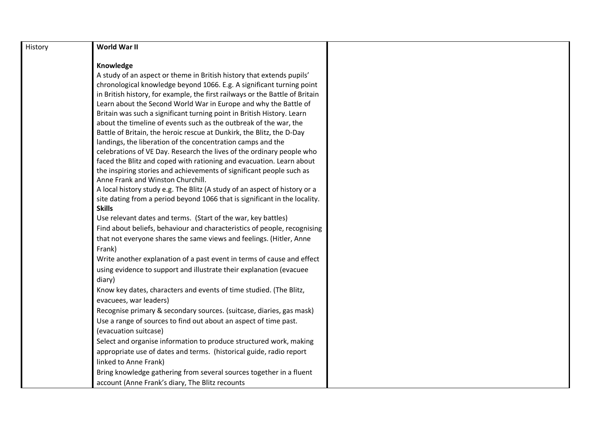| History | World War II                                                                 |  |
|---------|------------------------------------------------------------------------------|--|
|         | Knowledge                                                                    |  |
|         | A study of an aspect or theme in British history that extends pupils'        |  |
|         | chronological knowledge beyond 1066. E.g. A significant turning point        |  |
|         | in British history, for example, the first railways or the Battle of Britain |  |
|         | Learn about the Second World War in Europe and why the Battle of             |  |
|         | Britain was such a significant turning point in British History. Learn       |  |
|         | about the timeline of events such as the outbreak of the war, the            |  |
|         | Battle of Britain, the heroic rescue at Dunkirk, the Blitz, the D-Day        |  |
|         | landings, the liberation of the concentration camps and the                  |  |
|         | celebrations of VE Day. Research the lives of the ordinary people who        |  |
|         | faced the Blitz and coped with rationing and evacuation. Learn about         |  |
|         | the inspiring stories and achievements of significant people such as         |  |
|         | Anne Frank and Winston Churchill.                                            |  |
|         | A local history study e.g. The Blitz (A study of an aspect of history or a   |  |
|         | site dating from a period beyond 1066 that is significant in the locality.   |  |
|         | <b>Skills</b>                                                                |  |
|         | Use relevant dates and terms. (Start of the war, key battles)                |  |
|         | Find about beliefs, behaviour and characteristics of people, recognising     |  |
|         | that not everyone shares the same views and feelings. (Hitler, Anne          |  |
|         | Frank)                                                                       |  |
|         | Write another explanation of a past event in terms of cause and effect       |  |
|         | using evidence to support and illustrate their explanation (evacuee          |  |
|         | diary)                                                                       |  |
|         | Know key dates, characters and events of time studied. (The Blitz,           |  |
|         | evacuees, war leaders)                                                       |  |
|         | Recognise primary & secondary sources. (suitcase, diaries, gas mask)         |  |
|         | Use a range of sources to find out about an aspect of time past.             |  |
|         | (evacuation suitcase)                                                        |  |
|         | Select and organise information to produce structured work, making           |  |
|         | appropriate use of dates and terms. (historical guide, radio report          |  |
|         | linked to Anne Frank)                                                        |  |
|         | Bring knowledge gathering from several sources together in a fluent          |  |
|         | account (Anne Frank's diary, The Blitz recounts                              |  |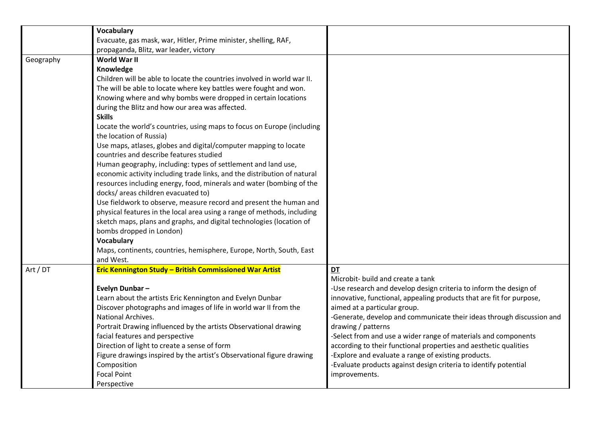|           | <b>Vocabulary</b>                                                        |                                                                       |
|-----------|--------------------------------------------------------------------------|-----------------------------------------------------------------------|
|           | Evacuate, gas mask, war, Hitler, Prime minister, shelling, RAF,          |                                                                       |
|           | propaganda, Blitz, war leader, victory                                   |                                                                       |
| Geography | World War II                                                             |                                                                       |
|           | Knowledge                                                                |                                                                       |
|           | Children will be able to locate the countries involved in world war II.  |                                                                       |
|           | The will be able to locate where key battles were fought and won.        |                                                                       |
|           | Knowing where and why bombs were dropped in certain locations            |                                                                       |
|           | during the Blitz and how our area was affected.                          |                                                                       |
|           | <b>Skills</b>                                                            |                                                                       |
|           | Locate the world's countries, using maps to focus on Europe (including   |                                                                       |
|           | the location of Russia)                                                  |                                                                       |
|           | Use maps, atlases, globes and digital/computer mapping to locate         |                                                                       |
|           | countries and describe features studied                                  |                                                                       |
|           | Human geography, including: types of settlement and land use,            |                                                                       |
|           | economic activity including trade links, and the distribution of natural |                                                                       |
|           | resources including energy, food, minerals and water (bombing of the     |                                                                       |
|           | docks/ areas children evacuated to)                                      |                                                                       |
|           | Use fieldwork to observe, measure record and present the human and       |                                                                       |
|           | physical features in the local area using a range of methods, including  |                                                                       |
|           | sketch maps, plans and graphs, and digital technologies (location of     |                                                                       |
|           | bombs dropped in London)                                                 |                                                                       |
|           | <b>Vocabulary</b>                                                        |                                                                       |
|           | Maps, continents, countries, hemisphere, Europe, North, South, East      |                                                                       |
|           | and West.                                                                |                                                                       |
| Art / DT  | Eric Kennington Study - British Commissioned War Artist                  | DT                                                                    |
|           |                                                                          | Microbit- build and create a tank                                     |
|           | Evelyn Dunbar-                                                           | -Use research and develop design criteria to inform the design of     |
|           | Learn about the artists Eric Kennington and Evelyn Dunbar                | innovative, functional, appealing products that are fit for purpose,  |
|           | Discover photographs and images of life in world war II from the         | aimed at a particular group.                                          |
|           | National Archives.                                                       | -Generate, develop and communicate their ideas through discussion and |
|           | Portrait Drawing influenced by the artists Observational drawing         | drawing / patterns                                                    |
|           | facial features and perspective                                          | -Select from and use a wider range of materials and components        |
|           | Direction of light to create a sense of form                             | according to their functional properties and aesthetic qualities      |
|           | Figure drawings inspired by the artist's Observational figure drawing    | -Explore and evaluate a range of existing products.                   |
|           | Composition                                                              | -Evaluate products against design criteria to identify potential      |
|           | <b>Focal Point</b>                                                       | improvements.                                                         |
|           | Perspective                                                              |                                                                       |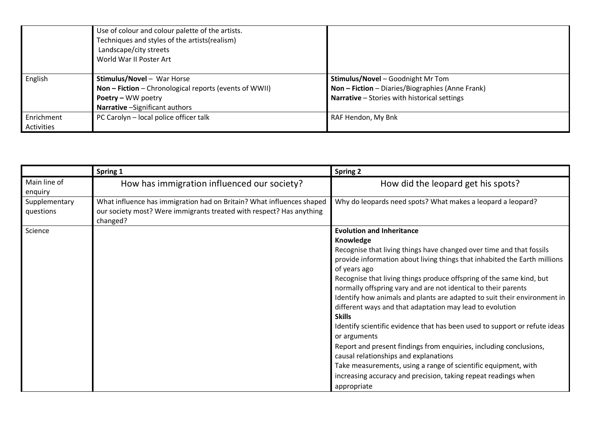|            | Use of colour and colour palette of the artists.       |                                                  |
|------------|--------------------------------------------------------|--------------------------------------------------|
|            | Techniques and styles of the artists(realism)          |                                                  |
|            | Landscape/city streets                                 |                                                  |
|            | World War II Poster Art                                |                                                  |
|            |                                                        |                                                  |
| English    | <b>Stimulus/Novel - War Horse</b>                      | <b>Stimulus/Novel</b> - Goodnight Mr Tom         |
|            | Non - Fiction - Chronological reports (events of WWII) | Non - Fiction - Diaries/Biographies (Anne Frank) |
|            | Poetry - WW poetry                                     | Narrative - Stories with historical settings     |
|            | Narrative - Significant authors                        |                                                  |
| Enrichment | PC Carolyn - local police officer talk                 | RAF Hendon, My Bnk                               |
| Activities |                                                        |                                                  |

|                            | Spring 1                                                                                                                                                  | <b>Spring 2</b>                                                                                                                                                                                                                                                                                                                                                                                                                                                                                                                                                                                                                                                                                                                                                                                                                                                                       |
|----------------------------|-----------------------------------------------------------------------------------------------------------------------------------------------------------|---------------------------------------------------------------------------------------------------------------------------------------------------------------------------------------------------------------------------------------------------------------------------------------------------------------------------------------------------------------------------------------------------------------------------------------------------------------------------------------------------------------------------------------------------------------------------------------------------------------------------------------------------------------------------------------------------------------------------------------------------------------------------------------------------------------------------------------------------------------------------------------|
| Main line of<br>enquiry    | How has immigration influenced our society?                                                                                                               | How did the leopard get his spots?                                                                                                                                                                                                                                                                                                                                                                                                                                                                                                                                                                                                                                                                                                                                                                                                                                                    |
| Supplementary<br>questions | What influence has immigration had on Britain? What influences shaped<br>our society most? Were immigrants treated with respect? Has anything<br>changed? | Why do leopards need spots? What makes a leopard a leopard?                                                                                                                                                                                                                                                                                                                                                                                                                                                                                                                                                                                                                                                                                                                                                                                                                           |
| Science                    |                                                                                                                                                           | <b>Evolution and Inheritance</b><br>Knowledge<br>Recognise that living things have changed over time and that fossils<br>provide information about living things that inhabited the Earth millions<br>of years ago<br>Recognise that living things produce offspring of the same kind, but<br>normally offspring vary and are not identical to their parents<br>Identify how animals and plants are adapted to suit their environment in<br>different ways and that adaptation may lead to evolution<br><b>Skills</b><br>Identify scientific evidence that has been used to support or refute ideas<br>or arguments<br>Report and present findings from enquiries, including conclusions,<br>causal relationships and explanations<br>Take measurements, using a range of scientific equipment, with<br>increasing accuracy and precision, taking repeat readings when<br>appropriate |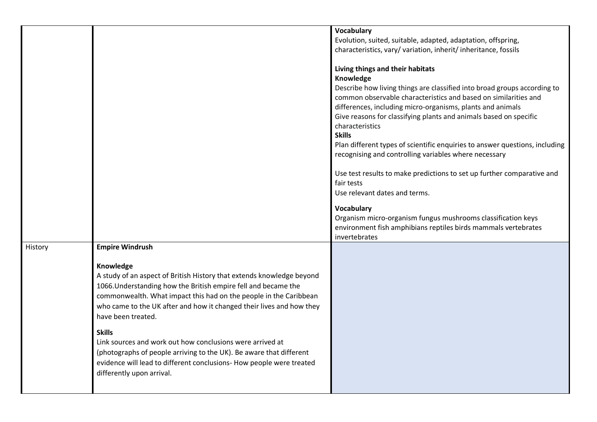|         |                                                                                                                                                                                                                                                                                                                                                                                                                                                                                                                                                                                                             | <b>Vocabulary</b><br>Evolution, suited, suitable, adapted, adaptation, offspring,<br>characteristics, vary/variation, inherit/inheritance, fossils                                                                                                                                                                                                                                                                                                                                                                                                                                                                                                                                                                                                                                                    |
|---------|-------------------------------------------------------------------------------------------------------------------------------------------------------------------------------------------------------------------------------------------------------------------------------------------------------------------------------------------------------------------------------------------------------------------------------------------------------------------------------------------------------------------------------------------------------------------------------------------------------------|-------------------------------------------------------------------------------------------------------------------------------------------------------------------------------------------------------------------------------------------------------------------------------------------------------------------------------------------------------------------------------------------------------------------------------------------------------------------------------------------------------------------------------------------------------------------------------------------------------------------------------------------------------------------------------------------------------------------------------------------------------------------------------------------------------|
|         |                                                                                                                                                                                                                                                                                                                                                                                                                                                                                                                                                                                                             | Living things and their habitats<br>Knowledge<br>Describe how living things are classified into broad groups according to<br>common observable characteristics and based on similarities and<br>differences, including micro-organisms, plants and animals<br>Give reasons for classifying plants and animals based on specific<br>characteristics<br><b>Skills</b><br>Plan different types of scientific enquiries to answer questions, including<br>recognising and controlling variables where necessary<br>Use test results to make predictions to set up further comparative and<br>fair tests<br>Use relevant dates and terms.<br>Vocabulary<br>Organism micro-organism fungus mushrooms classification keys<br>environment fish amphibians reptiles birds mammals vertebrates<br>invertebrates |
| History | <b>Empire Windrush</b><br>Knowledge<br>A study of an aspect of British History that extends knowledge beyond<br>1066. Understanding how the British empire fell and became the<br>commonwealth. What impact this had on the people in the Caribbean<br>who came to the UK after and how it changed their lives and how they<br>have been treated.<br><b>Skills</b><br>Link sources and work out how conclusions were arrived at<br>(photographs of people arriving to the UK). Be aware that different<br>evidence will lead to different conclusions- How people were treated<br>differently upon arrival. |                                                                                                                                                                                                                                                                                                                                                                                                                                                                                                                                                                                                                                                                                                                                                                                                       |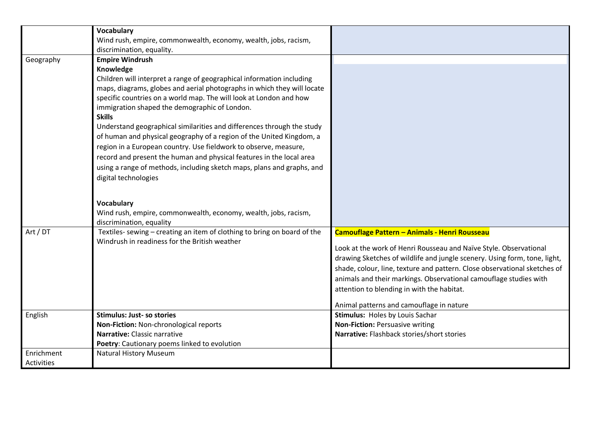|                          | <b>Vocabulary</b><br>Wind rush, empire, commonwealth, economy, wealth, jobs, racism,<br>discrimination, equality.                                                                                                                                                                                                                                                                                                                                                                                                                                                                                                                                                                                                                                    |                                                                                                                                                                                                                                                                                                                                                                                                                                             |
|--------------------------|------------------------------------------------------------------------------------------------------------------------------------------------------------------------------------------------------------------------------------------------------------------------------------------------------------------------------------------------------------------------------------------------------------------------------------------------------------------------------------------------------------------------------------------------------------------------------------------------------------------------------------------------------------------------------------------------------------------------------------------------------|---------------------------------------------------------------------------------------------------------------------------------------------------------------------------------------------------------------------------------------------------------------------------------------------------------------------------------------------------------------------------------------------------------------------------------------------|
| Geography                | <b>Empire Windrush</b><br>Knowledge<br>Children will interpret a range of geographical information including<br>maps, diagrams, globes and aerial photographs in which they will locate<br>specific countries on a world map. The will look at London and how<br>immigration shaped the demographic of London.<br><b>Skills</b><br>Understand geographical similarities and differences through the study<br>of human and physical geography of a region of the United Kingdom, a<br>region in a European country. Use fieldwork to observe, measure,<br>record and present the human and physical features in the local area<br>using a range of methods, including sketch maps, plans and graphs, and<br>digital technologies<br><b>Vocabulary</b> |                                                                                                                                                                                                                                                                                                                                                                                                                                             |
|                          | Wind rush, empire, commonwealth, economy, wealth, jobs, racism,<br>discrimination, equality                                                                                                                                                                                                                                                                                                                                                                                                                                                                                                                                                                                                                                                          |                                                                                                                                                                                                                                                                                                                                                                                                                                             |
| Art / DT                 | Textiles- sewing - creating an item of clothing to bring on board of the<br>Windrush in readiness for the British weather                                                                                                                                                                                                                                                                                                                                                                                                                                                                                                                                                                                                                            | Camouflage Pattern - Animals - Henri Rousseau<br>Look at the work of Henri Rousseau and Naïve Style. Observational<br>drawing Sketches of wildlife and jungle scenery. Using form, tone, light,<br>shade, colour, line, texture and pattern. Close observational sketches of<br>animals and their markings. Observational camouflage studies with<br>attention to blending in with the habitat.<br>Animal patterns and camouflage in nature |
| English                  | <b>Stimulus: Just- so stories</b><br>Non-Fiction: Non-chronological reports<br>Narrative: Classic narrative<br>Poetry: Cautionary poems linked to evolution                                                                                                                                                                                                                                                                                                                                                                                                                                                                                                                                                                                          | Stimulus: Holes by Louis Sachar<br>Non-Fiction: Persuasive writing<br>Narrative: Flashback stories/short stories                                                                                                                                                                                                                                                                                                                            |
| Enrichment<br>Activities | <b>Natural History Museum</b>                                                                                                                                                                                                                                                                                                                                                                                                                                                                                                                                                                                                                                                                                                                        |                                                                                                                                                                                                                                                                                                                                                                                                                                             |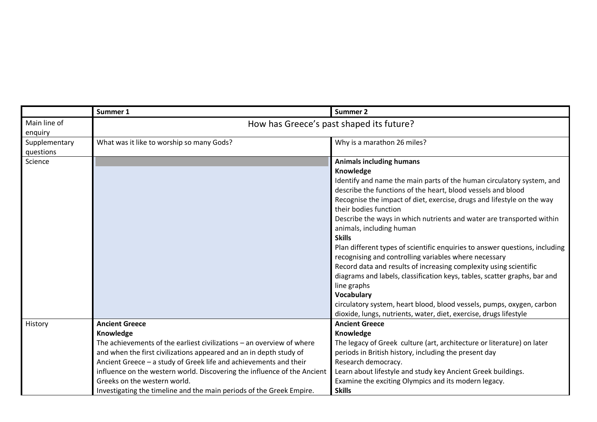|                            | Summer 1                                                                                                                                                                                                                                                                                                                                                                                             | <b>Summer 2</b>                                                                                                                                                                                                                                                                                                                                                                                                                                                                                                                                                                                                                                                                                                                                                                                                                                                                     |
|----------------------------|------------------------------------------------------------------------------------------------------------------------------------------------------------------------------------------------------------------------------------------------------------------------------------------------------------------------------------------------------------------------------------------------------|-------------------------------------------------------------------------------------------------------------------------------------------------------------------------------------------------------------------------------------------------------------------------------------------------------------------------------------------------------------------------------------------------------------------------------------------------------------------------------------------------------------------------------------------------------------------------------------------------------------------------------------------------------------------------------------------------------------------------------------------------------------------------------------------------------------------------------------------------------------------------------------|
| Main line of<br>enquiry    |                                                                                                                                                                                                                                                                                                                                                                                                      | How has Greece's past shaped its future?                                                                                                                                                                                                                                                                                                                                                                                                                                                                                                                                                                                                                                                                                                                                                                                                                                            |
| Supplementary<br>questions | What was it like to worship so many Gods?                                                                                                                                                                                                                                                                                                                                                            | Why is a marathon 26 miles?                                                                                                                                                                                                                                                                                                                                                                                                                                                                                                                                                                                                                                                                                                                                                                                                                                                         |
| Science                    |                                                                                                                                                                                                                                                                                                                                                                                                      | <b>Animals including humans</b><br>Knowledge<br>Identify and name the main parts of the human circulatory system, and<br>describe the functions of the heart, blood vessels and blood<br>Recognise the impact of diet, exercise, drugs and lifestyle on the way<br>their bodies function<br>Describe the ways in which nutrients and water are transported within<br>animals, including human<br><b>Skills</b><br>Plan different types of scientific enquiries to answer questions, including<br>recognising and controlling variables where necessary<br>Record data and results of increasing complexity using scientific<br>diagrams and labels, classification keys, tables, scatter graphs, bar and<br>line graphs<br>Vocabulary<br>circulatory system, heart blood, blood vessels, pumps, oxygen, carbon<br>dioxide, lungs, nutrients, water, diet, exercise, drugs lifestyle |
| History                    | <b>Ancient Greece</b><br>Knowledge                                                                                                                                                                                                                                                                                                                                                                   | <b>Ancient Greece</b><br>Knowledge                                                                                                                                                                                                                                                                                                                                                                                                                                                                                                                                                                                                                                                                                                                                                                                                                                                  |
|                            | The achievements of the earliest civilizations – an overview of where<br>and when the first civilizations appeared and an in depth study of<br>Ancient Greece - a study of Greek life and achievements and their<br>influence on the western world. Discovering the influence of the Ancient<br>Greeks on the western world.<br>Investigating the timeline and the main periods of the Greek Empire. | The legacy of Greek culture (art, architecture or literature) on later<br>periods in British history, including the present day<br>Research democracy.<br>Learn about lifestyle and study key Ancient Greek buildings.<br>Examine the exciting Olympics and its modern legacy.<br><b>Skills</b>                                                                                                                                                                                                                                                                                                                                                                                                                                                                                                                                                                                     |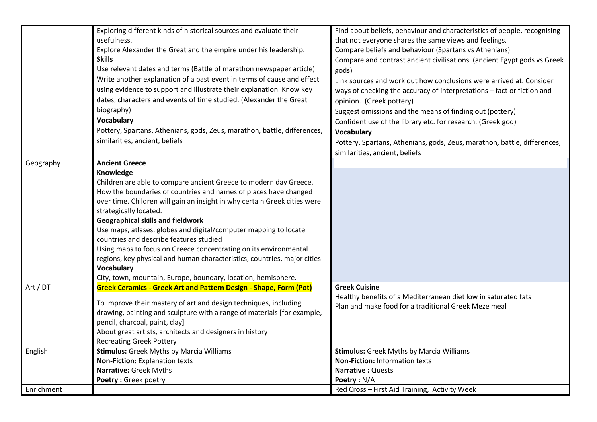|            | Exploring different kinds of historical sources and evaluate their        | Find about beliefs, behaviour and characteristics of people, recognising                 |
|------------|---------------------------------------------------------------------------|------------------------------------------------------------------------------------------|
|            | usefulness.                                                               | that not everyone shares the same views and feelings.                                    |
|            | Explore Alexander the Great and the empire under his leadership.          | Compare beliefs and behaviour (Spartans vs Athenians)                                    |
|            | <b>Skills</b>                                                             | Compare and contrast ancient civilisations. (ancient Egypt gods vs Greek                 |
|            | Use relevant dates and terms (Battle of marathon newspaper article)       | gods)                                                                                    |
|            | Write another explanation of a past event in terms of cause and effect    | Link sources and work out how conclusions were arrived at. Consider                      |
|            | using evidence to support and illustrate their explanation. Know key      | ways of checking the accuracy of interpretations - fact or fiction and                   |
|            | dates, characters and events of time studied. (Alexander the Great        | opinion. (Greek pottery)                                                                 |
|            | biography)                                                                | Suggest omissions and the means of finding out (pottery)                                 |
|            | <b>Vocabulary</b>                                                         | Confident use of the library etc. for research. (Greek god)                              |
|            | Pottery, Spartans, Athenians, gods, Zeus, marathon, battle, differences,  | <b>Vocabulary</b>                                                                        |
|            | similarities, ancient, beliefs                                            | Pottery, Spartans, Athenians, gods, Zeus, marathon, battle, differences,                 |
|            |                                                                           | similarities, ancient, beliefs                                                           |
| Geography  | <b>Ancient Greece</b>                                                     |                                                                                          |
|            | Knowledge                                                                 |                                                                                          |
|            | Children are able to compare ancient Greece to modern day Greece.         |                                                                                          |
|            | How the boundaries of countries and names of places have changed          |                                                                                          |
|            | over time. Children will gain an insight in why certain Greek cities were |                                                                                          |
|            | strategically located.                                                    |                                                                                          |
|            | <b>Geographical skills and fieldwork</b>                                  |                                                                                          |
|            | Use maps, atlases, globes and digital/computer mapping to locate          |                                                                                          |
|            | countries and describe features studied                                   |                                                                                          |
|            | Using maps to focus on Greece concentrating on its environmental          |                                                                                          |
|            | regions, key physical and human characteristics, countries, major cities  |                                                                                          |
|            | <b>Vocabulary</b>                                                         |                                                                                          |
|            | City, town, mountain, Europe, boundary, location, hemisphere.             |                                                                                          |
| Art / DT   | <b>Greek Ceramics - Greek Art and Pattern Design - Shape, Form (Pot)</b>  | <b>Greek Cuisine</b>                                                                     |
|            | To improve their mastery of art and design techniques, including          | Healthy benefits of a Mediterranean diet low in saturated fats                           |
|            | drawing, painting and sculpture with a range of materials [for example,   | Plan and make food for a traditional Greek Meze meal                                     |
|            | pencil, charcoal, paint, clay]                                            |                                                                                          |
|            | About great artists, architects and designers in history                  |                                                                                          |
|            |                                                                           |                                                                                          |
|            | <b>Recreating Greek Pottery</b>                                           |                                                                                          |
| English    | <b>Stimulus:</b> Greek Myths by Marcia Williams                           | <b>Stimulus:</b> Greek Myths by Marcia Williams<br><b>Non-Fiction: Information texts</b> |
|            | Non-Fiction: Explanation texts                                            |                                                                                          |
|            | Narrative: Greek Myths                                                    | <b>Narrative: Quests</b>                                                                 |
|            | Poetry: Greek poetry                                                      | Poetry: N/A                                                                              |
| Enrichment |                                                                           | Red Cross - First Aid Training, Activity Week                                            |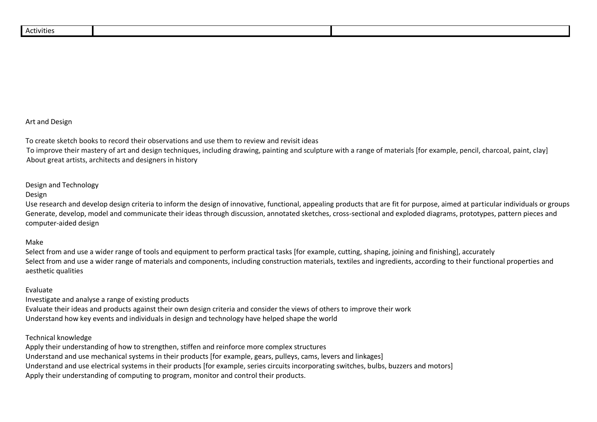|--|

### Art and Design

To create sketch books to record their observations and use them to review and revisit ideas

 To improve their mastery of art and design techniques, including drawing, painting and sculpture with a range of materials [for example, pencil, charcoal, paint, clay] About great artists, architects and designers in history

### Design and Technology

#### Design

Use research and develop design criteria to inform the design of innovative, functional, appealing products that are fit for purpose, aimed at particular individuals or groups Generate, develop, model and communicate their ideas through discussion, annotated sketches, cross-sectional and exploded diagrams, prototypes, pattern pieces and computer-aided design

#### Make

Select from and use a wider range of tools and equipment to perform practical tasks [for example, cutting, shaping, joining and finishing], accurately Select from and use a wider range of materials and components, including construction materials, textiles and ingredients, according to their functional properties and aesthetic qualities

#### Evaluate

Investigate and analyse a range of existing products Evaluate their ideas and products against their own design criteria and consider the views of others to improve their work Understand how key events and individuals in design and technology have helped shape the world

#### Technical knowledge

Apply their understanding of how to strengthen, stiffen and reinforce more complex structures Understand and use mechanical systems in their products [for example, gears, pulleys, cams, levers and linkages] Understand and use electrical systems in their products [for example, series circuits incorporating switches, bulbs, buzzers and motors] Apply their understanding of computing to program, monitor and control their products.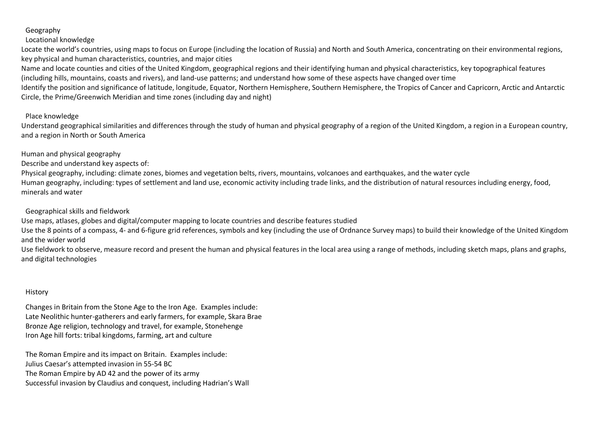# Geography

## Locational knowledge

Locate the world's countries, using maps to focus on Europe (including the location of Russia) and North and South America, concentrating on their environmental regions, key physical and human characteristics, countries, and major cities

Name and locate counties and cities of the United Kingdom, geographical regions and their identifying human and physical characteristics, key topographical features (including hills, mountains, coasts and rivers), and land-use patterns; and understand how some of these aspects have changed over time

Identify the position and significance of latitude, longitude, Equator, Northern Hemisphere, Southern Hemisphere, the Tropics of Cancer and Capricorn, Arctic and Antarctic Circle, the Prime/Greenwich Meridian and time zones (including day and night)

## Place knowledge

Understand geographical similarities and differences through the study of human and physical geography of a region of the United Kingdom, a region in a European country, and a region in North or South America

Human and physical geography

Describe and understand key aspects of:

Physical geography, including: climate zones, biomes and vegetation belts, rivers, mountains, volcanoes and earthquakes, and the water cycle Human geography, including: types of settlement and land use, economic activity including trade links, and the distribution of natural resources including energy, food, minerals and water

Geographical skills and fieldwork

Use maps, atlases, globes and digital/computer mapping to locate countries and describe features studied

Use the 8 points of a compass, 4- and 6-figure grid references, symbols and key (including the use of Ordnance Survey maps) to build their knowledge of the United Kingdom and the wider world

Use fieldwork to observe, measure record and present the human and physical features in the local area using a range of methods, including sketch maps, plans and graphs, and digital technologies

## History

Changes in Britain from the Stone Age to the Iron Age. Examples include: Late Neolithic hunter-gatherers and early farmers, for example, Skara Brae Bronze Age religion, technology and travel, for example, Stonehenge Iron Age hill forts: tribal kingdoms, farming, art and culture

The Roman Empire and its impact on Britain. Examples include: Julius Caesar's attempted invasion in 55-54 BC The Roman Empire by AD 42 and the power of its army Successful invasion by Claudius and conquest, including Hadrian's Wall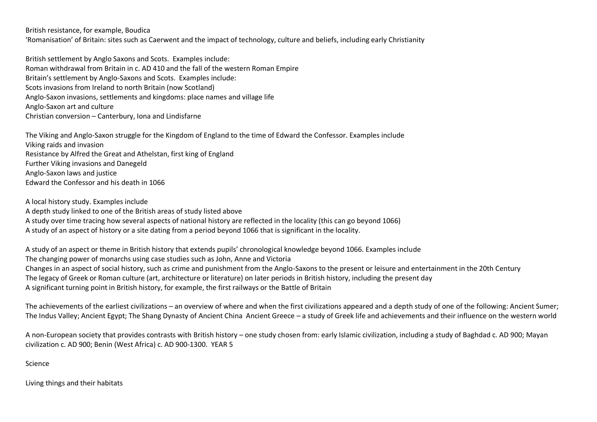British resistance, for example, Boudica

'Romanisation' of Britain: sites such as Caerwent and the impact of technology, culture and beliefs, including early Christianity

British settlement by Anglo Saxons and Scots. Examples include: Roman withdrawal from Britain in c. AD 410 and the fall of the western Roman Empire Britain's settlement by Anglo-Saxons and Scots. Examples include: Scots invasions from Ireland to north Britain (now Scotland) Anglo-Saxon invasions, settlements and kingdoms: place names and village life Anglo-Saxon art and culture Christian conversion – Canterbury, Iona and Lindisfarne

The Viking and Anglo-Saxon struggle for the Kingdom of England to the time of Edward the Confessor. Examples include Viking raids and invasion Resistance by Alfred the Great and Athelstan, first king of England Further Viking invasions and Danegeld Anglo-Saxon laws and justice Edward the Confessor and his death in 1066

A local history study. Examples include A depth study linked to one of the British areas of study listed above A study over time tracing how several aspects of national history are reflected in the locality (this can go beyond 1066) A study of an aspect of history or a site dating from a period beyond 1066 that is significant in the locality.

A study of an aspect or theme in British history that extends pupils' chronological knowledge beyond 1066. Examples include The changing power of monarchs using case studies such as John, Anne and Victoria Changes in an aspect of social history, such as crime and punishment from the Anglo-Saxons to the present or leisure and entertainment in the 20th Century The legacy of Greek or Roman culture (art, architecture or literature) on later periods in British history, including the present day A significant turning point in British history, for example, the first railways or the Battle of Britain

The achievements of the earliest civilizations – an overview of where and when the first civilizations appeared and a depth study of one of the following: Ancient Sumer; The Indus Valley; Ancient Egypt; The Shang Dynasty of Ancient China Ancient Greece – a study of Greek life and achievements and their influence on the western world

A non-European society that provides contrasts with British history – one study chosen from: early Islamic civilization, including a study of Baghdad c. AD 900; Mayan civilization c. AD 900; Benin (West Africa) c. AD 900-1300. YEAR 5

Science

Living things and their habitats